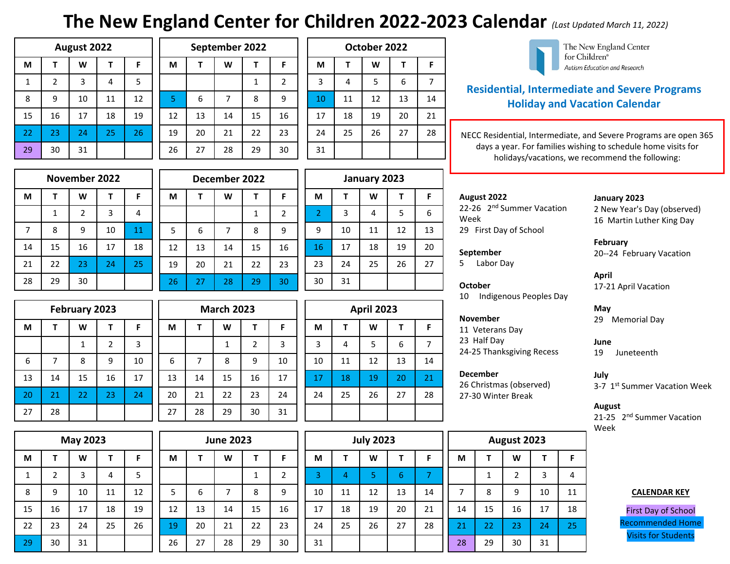# **The New England Center for Children 2022-2023 Calendar** *(Last Updated March 11, 2022)*

| August 2022           |                |    |    |    |  |  |  |
|-----------------------|----------------|----|----|----|--|--|--|
| W<br>M<br>F<br>т<br>т |                |    |    |    |  |  |  |
| 1                     | $\overline{2}$ | 3  | 4  | 5  |  |  |  |
| 8                     | 9              | 10 | 11 | 12 |  |  |  |
| 15                    | 16             | 17 | 18 | 19 |  |  |  |
| 22                    | 23             | 24 | 25 | 26 |  |  |  |
| 29                    | 30             | 31 |    |    |  |  |  |

|  | September 2022 |    |    |    |                |  |  |  |  |  |
|--|----------------|----|----|----|----------------|--|--|--|--|--|
|  | M              |    | W  |    | F              |  |  |  |  |  |
|  |                |    |    | 1  | $\overline{2}$ |  |  |  |  |  |
|  | 5              | 6  |    | 8  | 9              |  |  |  |  |  |
|  | 12             | 13 | 14 | 15 | 16             |  |  |  |  |  |
|  | 19             | 20 | 21 | 22 | 23             |  |  |  |  |  |
|  | 26             | 27 | 28 | 29 | 30             |  |  |  |  |  |

|  | October 2022   |    |    |    |    |  |  |  |  |  |  |
|--|----------------|----|----|----|----|--|--|--|--|--|--|
|  | M              |    | W  |    | F  |  |  |  |  |  |  |
|  | $\overline{3}$ | 4  | 5  | 6  | 7  |  |  |  |  |  |  |
|  | 10             | 11 | 12 | 13 | 14 |  |  |  |  |  |  |
|  | 17             | 18 | 19 | 20 | 21 |  |  |  |  |  |  |
|  | 24             | 25 | 26 | 27 | 28 |  |  |  |  |  |  |
|  | 31             |    |    |    |    |  |  |  |  |  |  |



The New England Center for Children® Autism Education and Research

# **Residential, Intermediate and Severe Programs Holiday and Vacation Calendar**

NECC Residential, Intermediate, and Severe Programs are open 365 days a year. For families wishing to schedule home visits for holidays/vacations, we recommend the following:

| November 2022         |    |    |    |    |  |  |  |
|-----------------------|----|----|----|----|--|--|--|
| М<br>W<br>F<br>т<br>т |    |    |    |    |  |  |  |
|                       | 1  | 2  | 3  | 4  |  |  |  |
| 7                     | 8  | 9  | 10 | 11 |  |  |  |
| 14                    | 15 | 16 | 17 | 18 |  |  |  |
| 21                    | 22 | 23 | 24 | 25 |  |  |  |
| 28                    | 29 | 30 |    |    |  |  |  |

|    | December 2022 |    |    |    |                |  |  |  |  |
|----|---------------|----|----|----|----------------|--|--|--|--|
| F  | M             |    | W  | т  | F.             |  |  |  |  |
| 4  |               |    |    | 1  | $\overline{2}$ |  |  |  |  |
| 11 | 5             | 6  |    | 8  | 9              |  |  |  |  |
| 18 | 12            | 13 | 14 | 15 | 16             |  |  |  |  |
| 25 | 19            | 20 | 21 | 22 | 23             |  |  |  |  |
|    | 26            | 27 | 28 | 29 | 30             |  |  |  |  |

|                |                | January 2023 |    |    |    |  |  |  |  |  |
|----------------|----------------|--------------|----|----|----|--|--|--|--|--|
| F              | M              | т            | W  | Т  | F. |  |  |  |  |  |
| $\overline{2}$ | $\overline{2}$ | 3            | 4  | 5  | 6  |  |  |  |  |  |
| 9              | 9              | 10           | 11 | 12 | 13 |  |  |  |  |  |
| 16             | 16             | 17           | 18 | 19 | 20 |  |  |  |  |  |
| 23             | 23             | 24           | 25 | 26 | 27 |  |  |  |  |  |
| 30             | 30             | 31           |    |    |    |  |  |  |  |  |

| February 2023 |    |    |                |    |  |  |  |
|---------------|----|----|----------------|----|--|--|--|
| W<br>М<br>F   |    |    |                |    |  |  |  |
|               |    | 1  | $\overline{2}$ | 3  |  |  |  |
| 6             | 7  | 8  | 9              | 10 |  |  |  |
| 13            | 14 | 15 | 16             | 17 |  |  |  |
| 20            | 21 | 22 | 23             | 24 |  |  |  |
| 27            | 28 |    |                |    |  |  |  |

| <b>May 2023</b>  |    |    |    |    |  |  |  |
|------------------|----|----|----|----|--|--|--|
| M<br>W<br>F<br>т |    |    |    |    |  |  |  |
| 1                | 2  | 3  | 4  | 5  |  |  |  |
| 8                | 9  | 10 | 11 | 12 |  |  |  |
| 15               | 16 | 17 | 18 | 19 |  |  |  |
| 22               | 23 | 24 | 25 | 26 |  |  |  |
| 29               | 30 | 31 |    |    |  |  |  |

|    | <b>March 2023</b> |    |                |    |  |  |  |  |  |  |
|----|-------------------|----|----------------|----|--|--|--|--|--|--|
| M  | F                 |    |                |    |  |  |  |  |  |  |
|    |                   | 1  | $\overline{2}$ | 3  |  |  |  |  |  |  |
| 6  | 7                 | 8  | 9              | 10 |  |  |  |  |  |  |
| 13 | 14                | 15 | 16             | 17 |  |  |  |  |  |  |
| 20 | 21                | 22 | 23             | 24 |  |  |  |  |  |  |
| 27 | 28                | 29 | 30             | 31 |  |  |  |  |  |  |
|    |                   |    |                |    |  |  |  |  |  |  |

|                         |  | <b>April 2023</b> |                |    |    |    |  |  |  |  |
|-------------------------|--|-------------------|----------------|----|----|----|--|--|--|--|
| F                       |  | M                 | т              | W  | т  | F  |  |  |  |  |
| $\overline{\mathbf{3}}$ |  | $\overline{3}$    | $\overline{4}$ | 5  | 6  |    |  |  |  |  |
| 10                      |  | 10                | 11             | 12 | 13 | 14 |  |  |  |  |
| 17                      |  | 17                | 18             | 19 | 20 | 21 |  |  |  |  |
| 24                      |  | 24                | 25             | 26 | 27 | 28 |  |  |  |  |
| 31                      |  |                   |                |    |    |    |  |  |  |  |

| <b>June 2023</b> |    |    |    |    | <b>July 2023</b> |    |    |    |    |    |    | August 2023    |    |
|------------------|----|----|----|----|------------------|----|----|----|----|----|----|----------------|----|
| М                |    | W  |    | F  | М                |    | W  |    | F  | М  |    | W              | т  |
|                  |    |    | 1  | 2  | 3                | 4  | 5  | 6  |    |    | 1  | $\overline{2}$ | 3  |
| 5                | 6  | 7  | 8  | 9  | 10               | 11 | 12 | 13 | 14 | 7  | 8  | 9              | 10 |
| 12               | 13 | 14 | 15 | 16 | 17               | 18 | 19 | 20 | 21 | 14 | 15 | 16             | 17 |
| 19               | 20 | 21 | 22 | 23 | 24               | 25 | 26 | 27 | 28 | 21 | 22 | 23             | 24 |
| 26               | 27 | 28 | 29 | 30 | 31               |    |    |    |    | 28 | 29 | 30             | 31 |

# **August 2022** 22-26 2<sup>nd</sup> Summer Vacation Week 29 First Day of School

# **September**

5 Labor Day

# **October**

 $10$  Ind

# **Novem**

11 Veterans Day 23 Half Day 24-25 Thanksgiving Recess

26 Christmas (observed) 27-30 Winter Break

| August 2023           |    |                |    |    |  |  |  |  |
|-----------------------|----|----------------|----|----|--|--|--|--|
| M<br>W<br>F<br>т<br>т |    |                |    |    |  |  |  |  |
|                       | 1  | $\overline{2}$ | 3  | 4  |  |  |  |  |
| 7                     | 8  | 9              | 10 | 11 |  |  |  |  |
| 14                    | 15 | 16             | 17 | 18 |  |  |  |  |
| 21                    | 22 | 23             | 24 | 25 |  |  |  |  |
|                       |    |                |    |    |  |  |  |  |

### **January 2023**

2 New Year's Day (observed) 16 Martin Luther King Day

# **February**

20--24 February Vacation

# **April**

17-21 April Vacation

# **May**

29 Memorial Day

### **June** 19 Juneteenth

**July** 3-7 1st Summer Vacation Week

# **August**

21-25 2<sup>nd</sup> Summer Vacation Week

## **CALENDAR KEY**

First Day of School Recommended Home Visits for Students

| r                    |  |
|----------------------|--|
| digenous Peoples Day |  |
|                      |  |
| ber                  |  |
| erans Dav            |  |

**December**